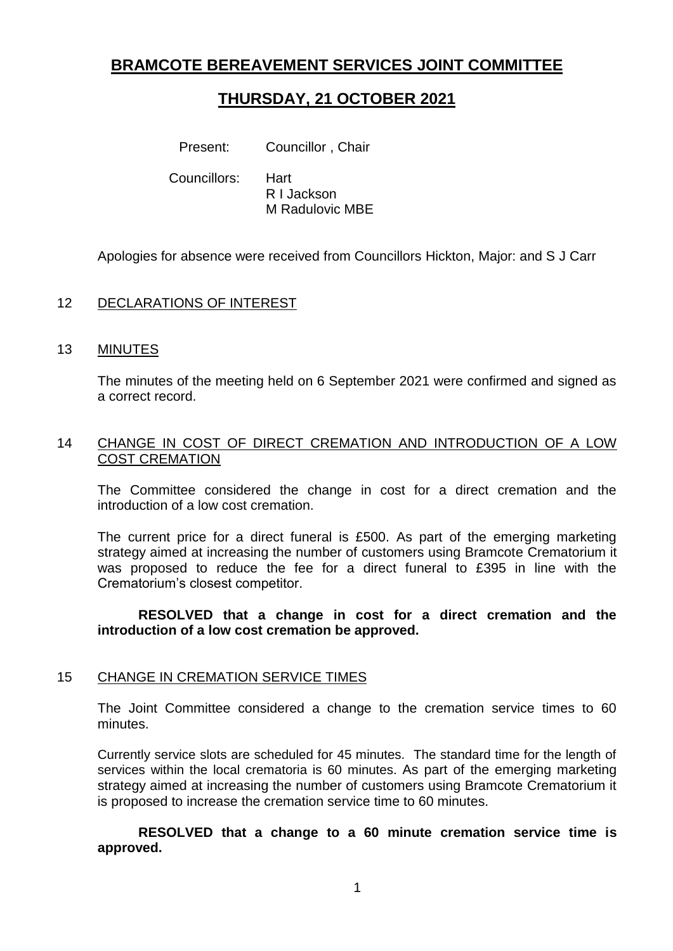## **BRAMCOTE BEREAVEMENT SERVICES JOINT COMMITTEE**

# **THURSDAY, 21 OCTOBER 2021**

Present: Councillor, Chair

Councillors: Hart

R I Jackson M Radulovic MBE

Apologies for absence were received from Councillors Hickton, Major: and S J Carr

## 12 DECLARATIONS OF INTEREST

#### 13 MINUTES

The minutes of the meeting held on 6 September 2021 were confirmed and signed as a correct record.

#### 14 CHANGE IN COST OF DIRECT CREMATION AND INTRODUCTION OF A LOW COST CREMATION

The Committee considered the change in cost for a direct cremation and the introduction of a low cost cremation.

The current price for a direct funeral is £500. As part of the emerging marketing strategy aimed at increasing the number of customers using Bramcote Crematorium it was proposed to reduce the fee for a direct funeral to £395 in line with the Crematorium's closest competitor.

#### **RESOLVED that a change in cost for a direct cremation and the introduction of a low cost cremation be approved.**

#### 15 CHANGE IN CREMATION SERVICE TIMES

The Joint Committee considered a change to the cremation service times to 60 minutes.

Currently service slots are scheduled for 45 minutes. The standard time for the length of services within the local crematoria is 60 minutes. As part of the emerging marketing strategy aimed at increasing the number of customers using Bramcote Crematorium it is proposed to increase the cremation service time to 60 minutes.

**RESOLVED that a change to a 60 minute cremation service time is approved.**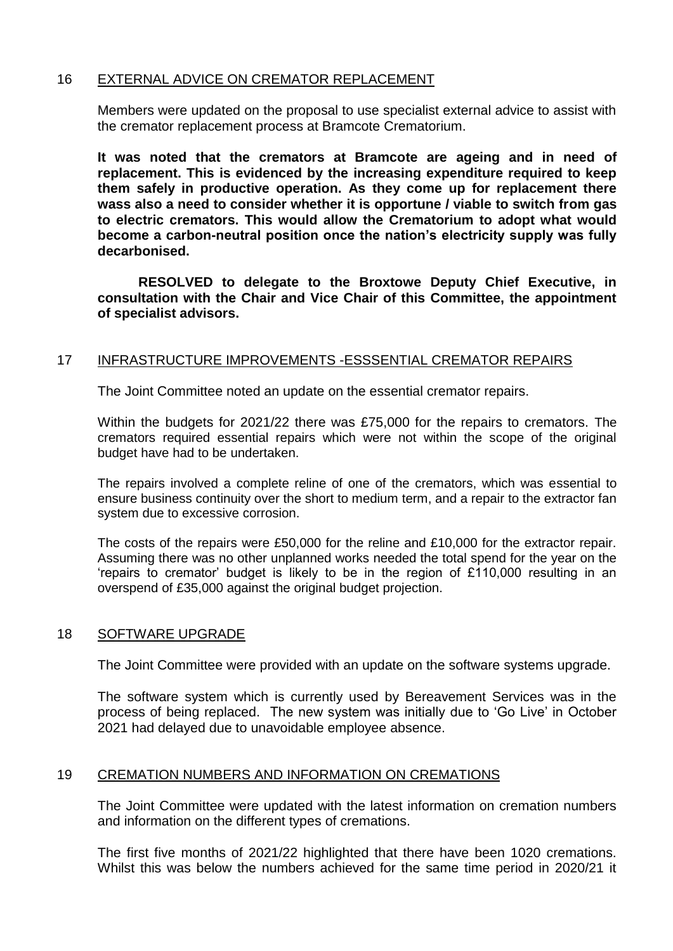### 16 EXTERNAL ADVICE ON CREMATOR REPLACEMENT

Members were updated on the proposal to use specialist external advice to assist with the cremator replacement process at Bramcote Crematorium.

**It was noted that the cremators at Bramcote are ageing and in need of replacement. This is evidenced by the increasing expenditure required to keep them safely in productive operation. As they come up for replacement there wass also a need to consider whether it is opportune / viable to switch from gas to electric cremators. This would allow the Crematorium to adopt what would become a carbon-neutral position once the nation's electricity supply was fully decarbonised.**

**RESOLVED to delegate to the Broxtowe Deputy Chief Executive, in consultation with the Chair and Vice Chair of this Committee, the appointment of specialist advisors.**

#### 17 INFRASTRUCTURE IMPROVEMENTS -ESSSENTIAL CREMATOR REPAIRS

The Joint Committee noted an update on the essential cremator repairs.

Within the budgets for 2021/22 there was £75,000 for the repairs to cremators. The cremators required essential repairs which were not within the scope of the original budget have had to be undertaken.

The repairs involved a complete reline of one of the cremators, which was essential to ensure business continuity over the short to medium term, and a repair to the extractor fan system due to excessive corrosion.

The costs of the repairs were £50,000 for the reline and £10,000 for the extractor repair. Assuming there was no other unplanned works needed the total spend for the year on the 'repairs to cremator' budget is likely to be in the region of £110,000 resulting in an overspend of £35,000 against the original budget projection.

#### 18 **SOFTWARE UPGRADE**

The Joint Committee were provided with an update on the software systems upgrade.

The software system which is currently used by Bereavement Services was in the process of being replaced. The new system was initially due to 'Go Live' in October 2021 had delayed due to unavoidable employee absence.

#### 19 CREMATION NUMBERS AND INFORMATION ON CREMATIONS

The Joint Committee were updated with the latest information on cremation numbers and information on the different types of cremations.

The first five months of 2021/22 highlighted that there have been 1020 cremations. Whilst this was below the numbers achieved for the same time period in 2020/21 it